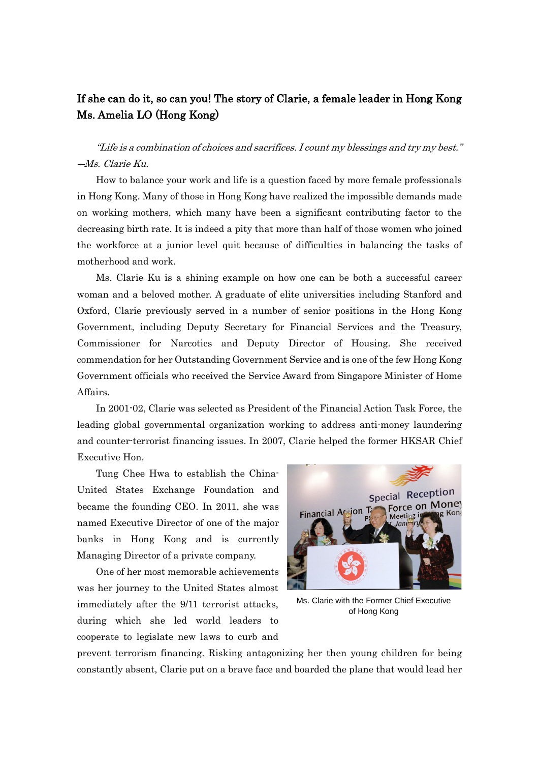## If she can do it, so can you! The story of Clarie, a female leader in Hong Kong Ms. Amelia LO (Hong Kong)

"Life is a combination of choices and sacrifices. I count my blessings and try my best." ―Ms. Clarie Ku.

How to balance your work and life is a question faced by more female professionals in Hong Kong. Many of those in Hong Kong have realized the impossible demands made on working mothers, which many have been a significant contributing factor to the decreasing birth rate. It is indeed a pity that more than half of those women who joined the workforce at a junior level quit because of difficulties in balancing the tasks of motherhood and work.

Ms. Clarie Ku is a shining example on how one can be both a successful career woman and a beloved mother. A graduate of elite universities including Stanford and Oxford, Clarie previously served in a number of senior positions in the Hong Kong Government, including Deputy Secretary for Financial Services and the Treasury, Commissioner for Narcotics and Deputy Director of Housing. She received commendation for her Outstanding Government Service and is one of the few Hong Kong Government officials who received the Service Award from Singapore Minister of Home Affairs.

In 2001-02, Clarie was selected as President of the Financial Action Task Force, the leading global governmental organization working to address anti-money laundering and counter-terrorist financing issues. In 2007, Clarie helped the former HKSAR Chief Executive Hon.

Tung Chee Hwa to establish the China-United States Exchange Foundation and became the founding CEO. In 2011, she was named Executive Director of one of the major banks in Hong Kong and is currently Managing Director of a private company.

One of her most memorable achievements was her journey to the United States almost immediately after the 9/11 terrorist attacks, during which she led world leaders to cooperate to legislate new laws to curb and



Ms. Clarie with the Former Chief Executive of Hong Kong

prevent terrorism financing. Risking antagonizing her then young children for being constantly absent, Clarie put on a brave face and boarded the plane that would lead her